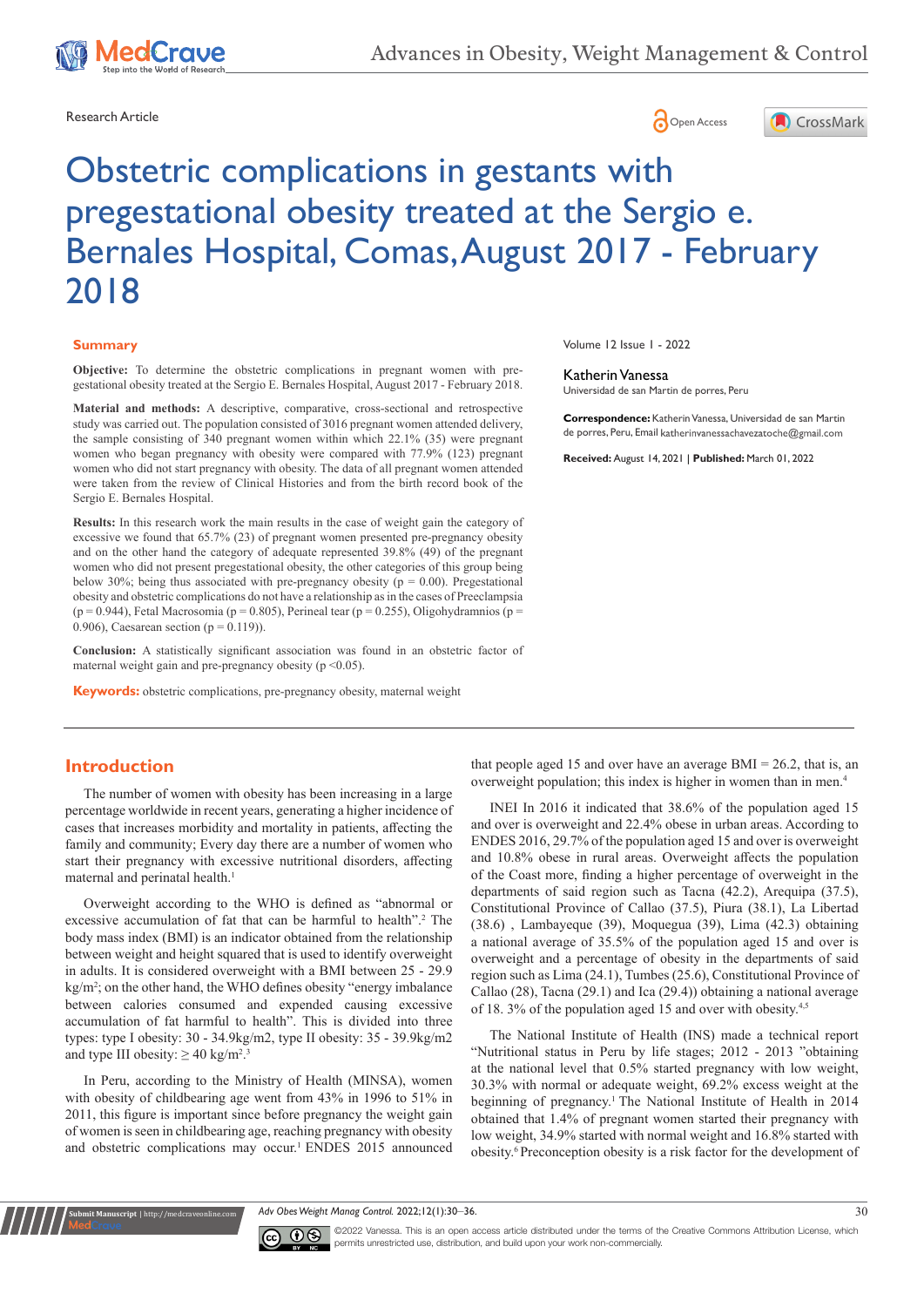

Research Article **Contracts and Contracts and Contracts and Contracts and Contracts and Contracts and Copen Access** 





# Obstetric complications in gestants with pregestational obesity treated at the Sergio e. Bernales Hospital, Comas, August 2017 - February 2018

#### **Summary**

**Objective:** To determine the obstetric complications in pregnant women with pregestational obesity treated at the Sergio E. Bernales Hospital, August 2017 - February 2018.

**Material and methods:** A descriptive, comparative, cross-sectional and retrospective study was carried out. The population consisted of 3016 pregnant women attended delivery, the sample consisting of 340 pregnant women within which 22.1% (35) were pregnant women who began pregnancy with obesity were compared with 77.9% (123) pregnant women who did not start pregnancy with obesity. The data of all pregnant women attended were taken from the review of Clinical Histories and from the birth record book of the Sergio E. Bernales Hospital.

**Results:** In this research work the main results in the case of weight gain the category of excessive we found that 65.7% (23) of pregnant women presented pre-pregnancy obesity and on the other hand the category of adequate represented 39.8% (49) of the pregnant women who did not present pregestational obesity, the other categories of this group being below 30%; being thus associated with pre-pregnancy obesity ( $p = 0.00$ ). Pregestational obesity and obstetric complications do not have a relationship as in the cases of Preeclampsia ( $p = 0.944$ ), Fetal Macrosomia ( $p = 0.805$ ), Perineal tear ( $p = 0.255$ ), Oligohydramnios ( $p = 0.944$ ) 0.906), Caesarean section ( $p = 0.119$ )).

**Conclusion:** A statistically significant association was found in an obstetric factor of maternal weight gain and pre-pregnancy obesity ( $p \le 0.05$ ).

**Keywords:** obstetric complications, pre-pregnancy obesity, maternal weight

Volume 12 Issue 1 - 2022

#### Katherin Vanessa

Universidad de san Martin de porres, Peru

**Correspondence:** Katherin Vanessa, Universidad de san Martin de porres, Peru, Email katherinvanessachavezatoche@gmail.com

**Received:** August 14, 2021 | **Published:** March 01, 2022

## **Introduction**

**Kubmit Manuscript** | http://medcraveonline

The number of women with obesity has been increasing in a large percentage worldwide in recent years, generating a higher incidence of cases that increases morbidity and mortality in patients, affecting the family and community; Every day there are a number of women who start their pregnancy with excessive nutritional disorders, affecting maternal and perinatal health.<sup>1</sup>

Overweight according to the WHO is defined as "abnormal or excessive accumulation of fat that can be harmful to health".<sup>2</sup> The body mass index (BMI) is an indicator obtained from the relationship between weight and height squared that is used to identify overweight in adults. It is considered overweight with a BMI between 25 - 29.9 kg/m<sup>2</sup>; on the other hand, the WHO defines obesity "energy imbalance between calories consumed and expended causing excessive accumulation of fat harmful to health". This is divided into three types: type I obesity: 30 - 34.9kg/m2, type II obesity: 35 - 39.9kg/m2 and type III obesity:  $\geq 40 \text{ kg/m}^2$ .<sup>3</sup>

In Peru, according to the Ministry of Health (MINSA), women with obesity of childbearing age went from 43% in 1996 to 51% in 2011, this figure is important since before pregnancy the weight gain of women is seen in childbearing age, reaching pregnancy with obesity and obstetric complications may occur.<sup>1</sup> ENDES 2015 announced

that people aged 15 and over have an average  $BMI = 26.2$ , that is, an overweight population; this index is higher in women than in men.4

INEI In 2016 it indicated that 38.6% of the population aged 15 and over is overweight and 22.4% obese in urban areas. According to ENDES 2016, 29.7% of the population aged 15 and over is overweight and 10.8% obese in rural areas. Overweight affects the population of the Coast more, finding a higher percentage of overweight in the departments of said region such as Tacna (42.2), Arequipa (37.5), Constitutional Province of Callao (37.5), Piura (38.1), La Libertad (38.6) , Lambayeque (39), Moquegua (39), Lima (42.3) obtaining a national average of 35.5% of the population aged 15 and over is overweight and a percentage of obesity in the departments of said region such as Lima (24.1), Tumbes (25.6), Constitutional Province of Callao (28), Tacna (29.1) and Ica (29.4)) obtaining a national average of 18. 3% of the population aged 15 and over with obesity.<sup>4,5</sup>

The National Institute of Health (INS) made a technical report "Nutritional status in Peru by life stages; 2012 - 2013 "obtaining at the national level that 0.5% started pregnancy with low weight, 30.3% with normal or adequate weight, 69.2% excess weight at the beginning of pregnancy.1 The National Institute of Health in 2014 obtained that 1.4% of pregnant women started their pregnancy with low weight, 34.9% started with normal weight and 16.8% started with obesity.6 Preconception obesity is a risk factor for the development of

*Adv Obes Weight Manag Control.* 2022;12(1):30‒36. 30



©2022 Vanessa. This is an open access article distributed under the terms of the [Creative Commons Attribution License](https://creativecommons.org/licenses/by-nc/4.0/), which permits unrestricted use, distribution, and build upon your work non-commercially.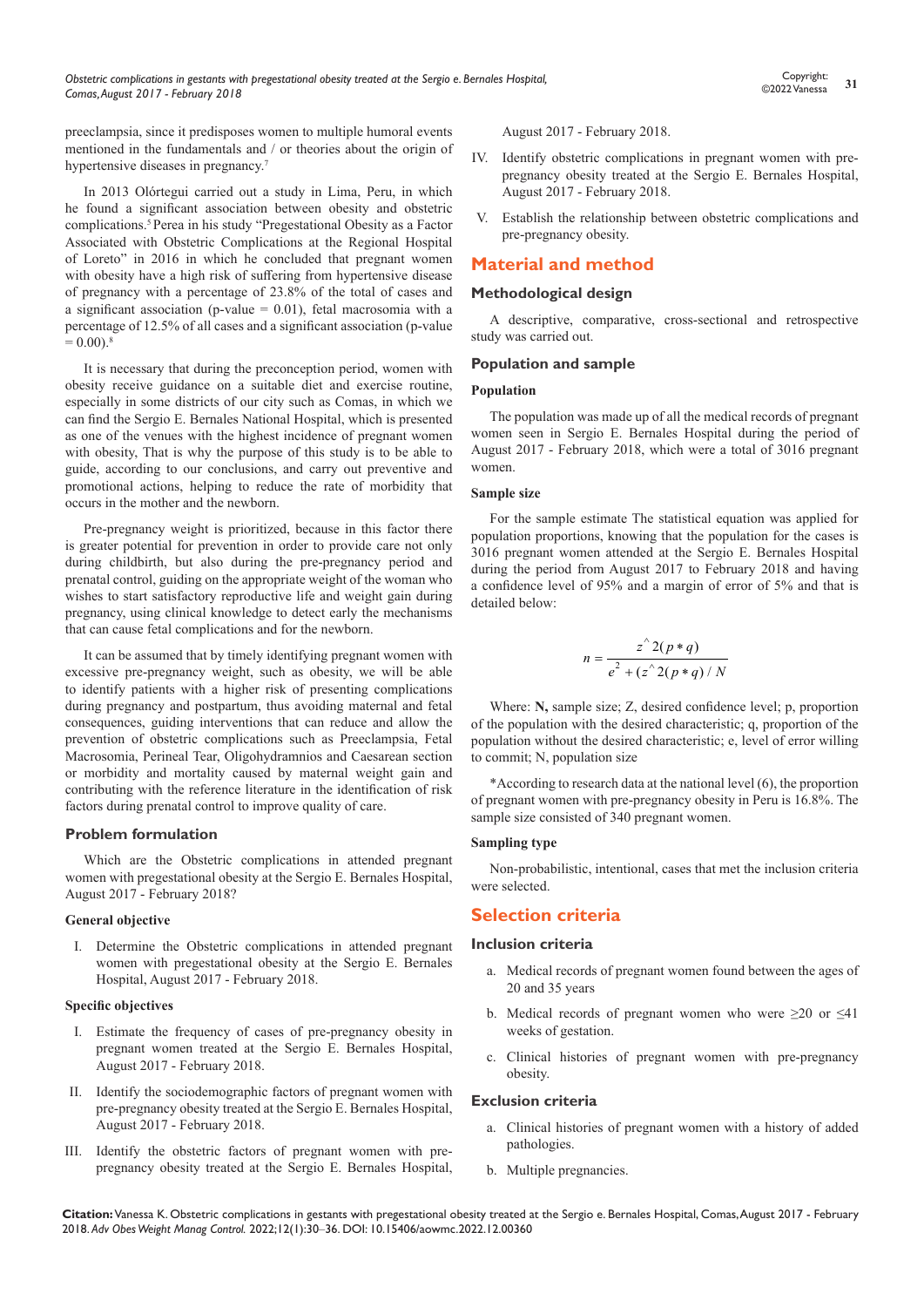preeclampsia, since it predisposes women to multiple humoral events mentioned in the fundamentals and / or theories about the origin of hypertensive diseases in pregnancy.<sup>7</sup>

In 2013 Olórtegui carried out a study in Lima, Peru, in which he found a significant association between obesity and obstetric complications.5 Perea in his study "Pregestational Obesity as a Factor Associated with Obstetric Complications at the Regional Hospital of Loreto" in 2016 in which he concluded that pregnant women with obesity have a high risk of suffering from hypertensive disease of pregnancy with a percentage of 23.8% of the total of cases and a significant association (p-value  $= 0.01$ ), fetal macrosomia with a percentage of 12.5% of all cases and a significant association (p-value  $= 0.00$ .<sup>8</sup>

It is necessary that during the preconception period, women with obesity receive guidance on a suitable diet and exercise routine, especially in some districts of our city such as Comas, in which we can find the Sergio E. Bernales National Hospital, which is presented as one of the venues with the highest incidence of pregnant women with obesity, That is why the purpose of this study is to be able to guide, according to our conclusions, and carry out preventive and promotional actions, helping to reduce the rate of morbidity that occurs in the mother and the newborn.

Pre-pregnancy weight is prioritized, because in this factor there is greater potential for prevention in order to provide care not only during childbirth, but also during the pre-pregnancy period and prenatal control, guiding on the appropriate weight of the woman who wishes to start satisfactory reproductive life and weight gain during pregnancy, using clinical knowledge to detect early the mechanisms that can cause fetal complications and for the newborn.

It can be assumed that by timely identifying pregnant women with excessive pre-pregnancy weight, such as obesity, we will be able to identify patients with a higher risk of presenting complications during pregnancy and postpartum, thus avoiding maternal and fetal consequences, guiding interventions that can reduce and allow the prevention of obstetric complications such as Preeclampsia, Fetal Macrosomia, Perineal Tear, Oligohydramnios and Caesarean section or morbidity and mortality caused by maternal weight gain and contributing with the reference literature in the identification of risk factors during prenatal control to improve quality of care.

#### **Problem formulation**

Which are the Obstetric complications in attended pregnant women with pregestational obesity at the Sergio E. Bernales Hospital, August 2017 - February 2018?

#### **General objective**

I. Determine the Obstetric complications in attended pregnant women with pregestational obesity at the Sergio E. Bernales Hospital, August 2017 - February 2018.

#### **Specific objectives**

- I. Estimate the frequency of cases of pre-pregnancy obesity in pregnant women treated at the Sergio E. Bernales Hospital, August 2017 - February 2018.
- II. Identify the sociodemographic factors of pregnant women with pre-pregnancy obesity treated at the Sergio E. Bernales Hospital, August 2017 - February 2018.
- III. Identify the obstetric factors of pregnant women with prepregnancy obesity treated at the Sergio E. Bernales Hospital,

August 2017 - February 2018.

- IV. Identify obstetric complications in pregnant women with prepregnancy obesity treated at the Sergio E. Bernales Hospital, August 2017 - February 2018.
- V. Establish the relationship between obstetric complications and pre-pregnancy obesity.

# **Material and method**

#### **Methodological design**

A descriptive, comparative, cross-sectional and retrospective study was carried out.

#### **Population and sample**

#### **Population**

The population was made up of all the medical records of pregnant women seen in Sergio E. Bernales Hospital during the period of August 2017 - February 2018, which were a total of 3016 pregnant women.

#### **Sample size**

For the sample estimate The statistical equation was applied for population proportions, knowing that the population for the cases is 3016 pregnant women attended at the Sergio E. Bernales Hospital during the period from August 2017 to February 2018 and having a confidence level of 95% and a margin of error of 5% and that is detailed below:

$$
n = \frac{z^2(2p*q)}{e^2 + (z^2(2p*q)/N)}
$$

Where: **N,** sample size; Z, desired confidence level; p, proportion of the population with the desired characteristic; q, proportion of the population without the desired characteristic; e, level of error willing to commit; N, population size

\*According to research data at the national level (6), the proportion of pregnant women with pre-pregnancy obesity in Peru is 16.8%. The sample size consisted of 340 pregnant women.

#### **Sampling type**

Non-probabilistic, intentional, cases that met the inclusion criteria were selected.

# **Selection criteria**

#### **Inclusion criteria**

- a. Medical records of pregnant women found between the ages of 20 and 35 years
- b. Medical records of pregnant women who were  $\geq 20$  or  $\leq 41$ weeks of gestation.
- c. Clinical histories of pregnant women with pre-pregnancy obesity.

#### **Exclusion criteria**

- a. Clinical histories of pregnant women with a history of added pathologies.
- b. Multiple pregnancies.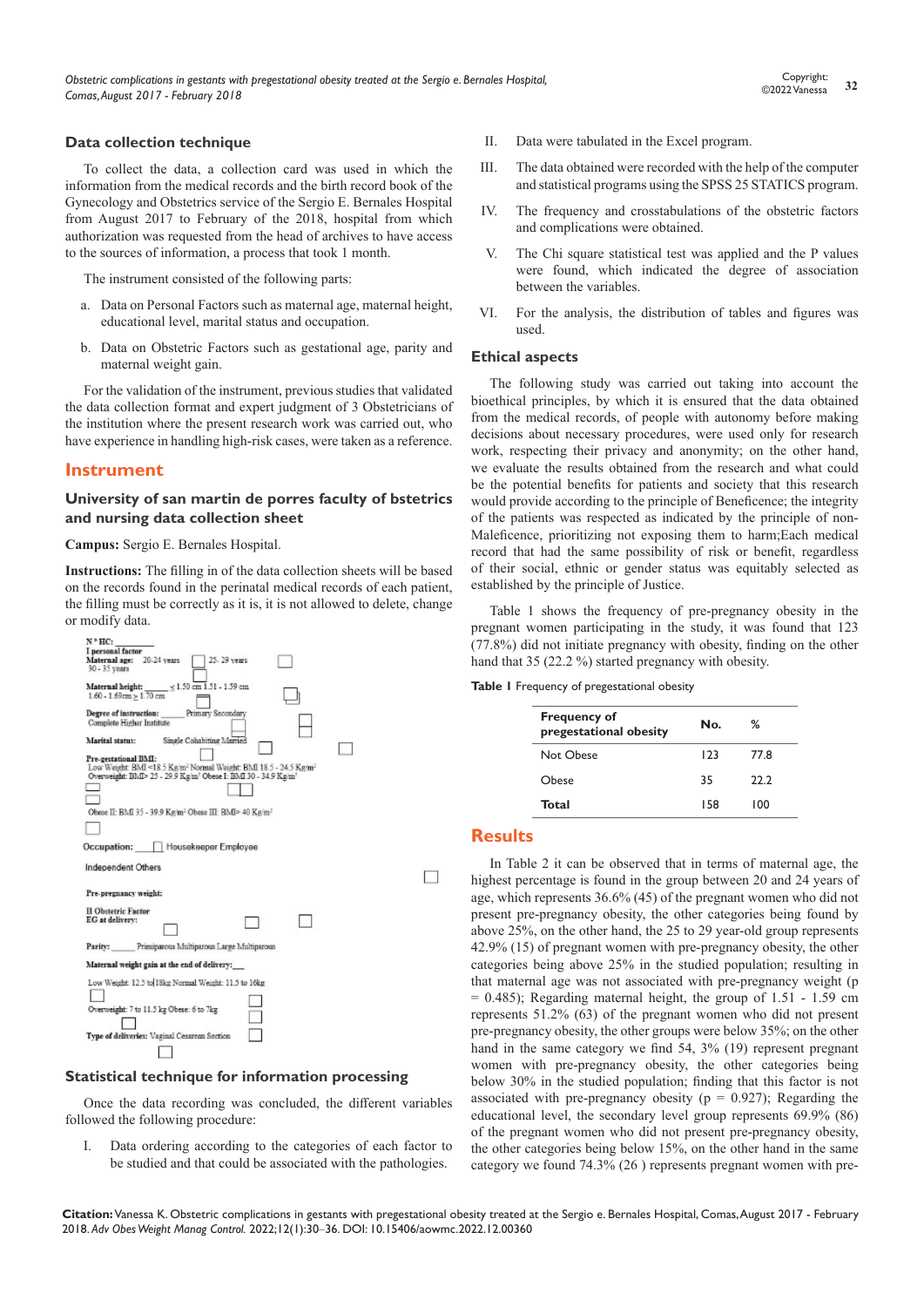#### **Data collection technique**

To collect the data, a collection card was used in which the information from the medical records and the birth record book of the Gynecology and Obstetrics service of the Sergio E. Bernales Hospital from August 2017 to February of the 2018, hospital from which authorization was requested from the head of archives to have access to the sources of information, a process that took 1 month.

The instrument consisted of the following parts:

- a. Data on Personal Factors such as maternal age, maternal height, educational level, marital status and occupation.
- b. Data on Obstetric Factors such as gestational age, parity and maternal weight gain.

For the validation of the instrument, previous studies that validated the data collection format and expert judgment of 3 Obstetricians of the institution where the present research work was carried out, who have experience in handling high-risk cases, were taken as a reference.

### **Instrument**

#### **University of san martin de porres faculty of bstetrics and nursing data collection sheet**

**Campus:** Sergio E. Bernales Hospital.

**Instructions:** The filling in of the data collection sheets will be based on the records found in the perinatal medical records of each patient, the filling must be correctly as it is, it is not allowed to delete, change or modify data.



#### **Statistical technique for information processing**

Once the data recording was concluded, the different variables followed the following procedure:

I. Data ordering according to the categories of each factor to be studied and that could be associated with the pathologies.

- II. Data were tabulated in the Excel program.
- III. The data obtained were recorded with the help of the computer and statistical programs using the SPSS 25 STATICS program.
- IV. The frequency and crosstabulations of the obstetric factors and complications were obtained.
- V. The Chi square statistical test was applied and the P values were found, which indicated the degree of association between the variables.
- VI. For the analysis, the distribution of tables and figures was used.

#### **Ethical aspects**

The following study was carried out taking into account the bioethical principles, by which it is ensured that the data obtained from the medical records, of people with autonomy before making decisions about necessary procedures, were used only for research work, respecting their privacy and anonymity; on the other hand, we evaluate the results obtained from the research and what could be the potential benefits for patients and society that this research would provide according to the principle of Beneficence; the integrity of the patients was respected as indicated by the principle of non-Maleficence, prioritizing not exposing them to harm;Each medical record that had the same possibility of risk or benefit, regardless of their social, ethnic or gender status was equitably selected as established by the principle of Justice.

Table 1 shows the frequency of pre-pregnancy obesity in the pregnant women participating in the study, it was found that 123 (77.8%) did not initiate pregnancy with obesity, finding on the other hand that 35 (22.2 %) started pregnancy with obesity.

**Table 1** Frequency of pregestational obesity

| <b>Frequency of</b><br>pregestational obesity | No. | ℅    |  |
|-----------------------------------------------|-----|------|--|
| Not Obese                                     | 123 | 77.8 |  |
| Ohese                                         | 35  | 22.2 |  |
| Total                                         | 158 | 100  |  |
|                                               |     |      |  |

#### **Results**

 $\Box$ 

In Table 2 it can be observed that in terms of maternal age, the highest percentage is found in the group between 20 and 24 years of age, which represents 36.6% (45) of the pregnant women who did not present pre-pregnancy obesity, the other categories being found by above 25%, on the other hand, the 25 to 29 year-old group represents 42.9% (15) of pregnant women with pre-pregnancy obesity, the other categories being above 25% in the studied population; resulting in that maternal age was not associated with pre-pregnancy weight (p  $= 0.485$ ); Regarding maternal height, the group of 1.51 - 1.59 cm represents 51.2% (63) of the pregnant women who did not present pre-pregnancy obesity, the other groups were below 35%; on the other hand in the same category we find 54, 3% (19) represent pregnant women with pre-pregnancy obesity, the other categories being below 30% in the studied population; finding that this factor is not associated with pre-pregnancy obesity ( $p = 0.927$ ); Regarding the educational level, the secondary level group represents 69.9% (86) of the pregnant women who did not present pre-pregnancy obesity, the other categories being below 15%, on the other hand in the same category we found 74.3% (26 ) represents pregnant women with pre-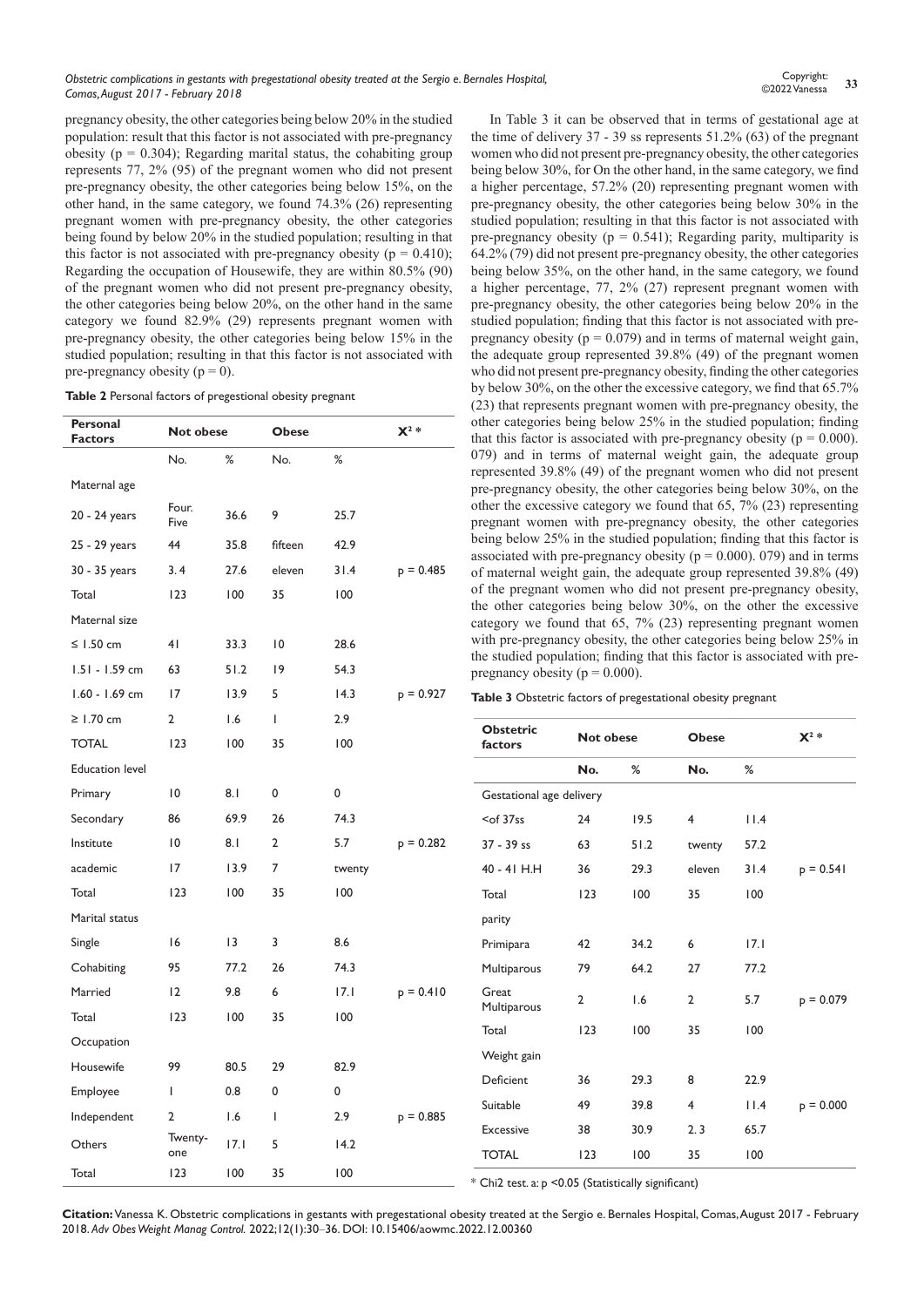pregnancy obesity, the other categories being below 20% in the studied population: result that this factor is not associated with pre-pregnancy obesity ( $p = 0.304$ ); Regarding marital status, the cohabiting group represents 77, 2% (95) of the pregnant women who did not present pre-pregnancy obesity, the other categories being below 15%, on the other hand, in the same category, we found 74.3% (26) representing pregnant women with pre-pregnancy obesity, the other categories being found by below 20% in the studied population; resulting in that this factor is not associated with pre-pregnancy obesity ( $p = 0.410$ ); Regarding the occupation of Housewife, they are within 80.5% (90) of the pregnant women who did not present pre-pregnancy obesity, the other categories being below 20%, on the other hand in the same category we found 82.9% (29) represents pregnant women with pre-pregnancy obesity, the other categories being below 15% in the studied population; resulting in that this factor is not associated with pre-pregnancy obesity ( $p = 0$ ).

| Table 2 Personal factors of pregestional obesity pregnant |  |  |
|-----------------------------------------------------------|--|--|
|-----------------------------------------------------------|--|--|

| Personal<br><b>Factors</b> | Not obese      |      | <b>Obese</b>    |        | $X^2 *$     |
|----------------------------|----------------|------|-----------------|--------|-------------|
|                            | No.            | ℅    | No.             | %      |             |
| Maternal age               |                |      |                 |        |             |
| 20 - 24 years              | Four.<br>Five  | 36.6 | 9               | 25.7   |             |
| 25 - 29 years              | 44             | 35.8 | fifteen         | 42.9   |             |
| 30 - 35 years              | 3.4            | 27.6 | eleven          | 31.4   | $p = 0.485$ |
| Total                      | 123            | 100  | 35              | 100    |             |
| Maternal size              |                |      |                 |        |             |
| ≤ $1.50$ cm                | 41             | 33.3 | $\overline{10}$ | 28.6   |             |
| 1.51 - 1.59 cm             | 63             | 51.2 | 19              | 54.3   |             |
| 1.60 - 1.69 cm             | 17             | 13.9 | 5               | 14.3   | $p = 0.927$ |
| $\geq$ 1.70 cm             | 2              | 1.6  | T               | 2.9    |             |
| <b>TOTAL</b>               | 123            | 100  | 35              | 100    |             |
| <b>Education level</b>     |                |      |                 |        |             |
| Primary                    | $\overline{0}$ | 8.1  | 0               | 0      |             |
| Secondary                  | 86             | 69.9 | 26              | 74.3   |             |
| Institute                  | 10             | 8.1  | $\overline{2}$  | 5.7    | $p = 0.282$ |
| academic                   | 17             | 13.9 | $\overline{7}$  | twenty |             |
| Total                      | 123            | 100  | 35              | 100    |             |
| Marital status             |                |      |                 |        |             |
| Single                     | 16             | 13   | 3               | 8.6    |             |
| Cohabiting                 | 95             | 77.2 | 26              | 74.3   |             |
| Married                    | 12             | 9.8  | 6               | 17.1   | $p = 0.410$ |
| Total                      | 123            | 100  | 35              | 100    |             |
| Occupation                 |                |      |                 |        |             |
| Housewife                  | 99             | 80.5 | 29              | 82.9   |             |
| Employee                   | I              | 0.8  | 0               | 0      |             |
| Independent                | 2              | 1.6  | $\mathsf{I}$    | 2.9    | $p = 0.885$ |
| Others                     | Twenty-<br>one | 17.1 | 5               | 14.2   |             |
| Total                      | 123            | 100  | 35              | 100    |             |

In Table 3 it can be observed that in terms of gestational age at the time of delivery  $37 - 39$  ss represents  $51.2\%$  (63) of the pregnant women who did not present pre-pregnancy obesity, the other categories being below 30%, for On the other hand, in the same category, we find a higher percentage, 57.2% (20) representing pregnant women with pre-pregnancy obesity, the other categories being below 30% in the studied population; resulting in that this factor is not associated with pre-pregnancy obesity ( $p = 0.541$ ); Regarding parity, multiparity is 64.2% (79) did not present pre-pregnancy obesity, the other categories being below 35%, on the other hand, in the same category, we found a higher percentage, 77, 2% (27) represent pregnant women with pre-pregnancy obesity, the other categories being below 20% in the studied population; finding that this factor is not associated with prepregnancy obesity ( $p = 0.079$ ) and in terms of maternal weight gain, the adequate group represented 39.8% (49) of the pregnant women who did not present pre-pregnancy obesity, finding the other categories by below 30%, on the other the excessive category, we find that 65.7% (23) that represents pregnant women with pre-pregnancy obesity, the categories being below 25% in the studied population; finding this factor is associated with pre-pregnancy obesity ( $p = 0.000$ ). and in terms of maternal weight gain, the adequate group esented 39.8% (49) of the pregnant women who did not present pregnancy obesity, the other categories being below 30%, on the the excessive category we found that  $65$ ,  $7\%$  (23) representing nant women with pre-pregnancy obesity, the other categories g below 25% in the studied population; finding that this factor is ciated with pre-pregnancy obesity ( $p = 0.000$ ). 079) and in terms aternal weight gain, the adequate group represented 39.8% (49) e pregnant women who did not present pre-pregnancy obesity, other categories being below  $30\%$ , on the other the excessive gory we found that  $65$ ,  $7\%$  (23) representing pregnant women pre-pregnancy obesity, the other categories being below 25% in tudied population; finding that this factor is associated with prenancy obesity ( $p = 0.000$ ).

| Table 3 Obstetric factors of pregestational obesity pregnant |  |  |
|--------------------------------------------------------------|--|--|
|--------------------------------------------------------------|--|--|

| <b>Obstetric</b><br>factors |                | <b>Not obese</b> |                | <b>Obese</b> |             |
|-----------------------------|----------------|------------------|----------------|--------------|-------------|
|                             | No.            | ℅                | No.            | %            |             |
| Gestational age delivery    |                |                  |                |              |             |
| $<$ of 37ss                 | 24             | 19.5             | 4              | 11.4         |             |
| $37 - 39$ ss                | 63             | 51.2             | twenty         | 57.2         |             |
| 40 - 41 H.H                 | 36             | 29.3             | eleven         | 31.4         | $p = 0.541$ |
| Total                       | 123            | 100              | 35             | 100          |             |
| parity                      |                |                  |                |              |             |
| Primipara                   | 42             | 34.2             | 6              | 7.1          |             |
| Multiparous                 | 79             | 64.2             | 27             | 77.2         |             |
| Great<br>Multiparous        | $\overline{2}$ | 1.6              | $\overline{2}$ | 5.7          | $p = 0.079$ |
| Total                       | 123            | 100              | 35             | 100          |             |
| Weight gain                 |                |                  |                |              |             |
| Deficient                   | 36             | 29.3             | 8              | 22.9         |             |
| Suitable                    | 49             | 39.8             | $\overline{4}$ | 11.4         | $p = 0.000$ |
| <b>Excessive</b>            | 38             | 30.9             | 2.3            | 65.7         |             |
| <b>TOTAL</b>                | 123            | 100              | 35             | 100          |             |

\* Chi2 test. a: p <0.05 (Statistically significant)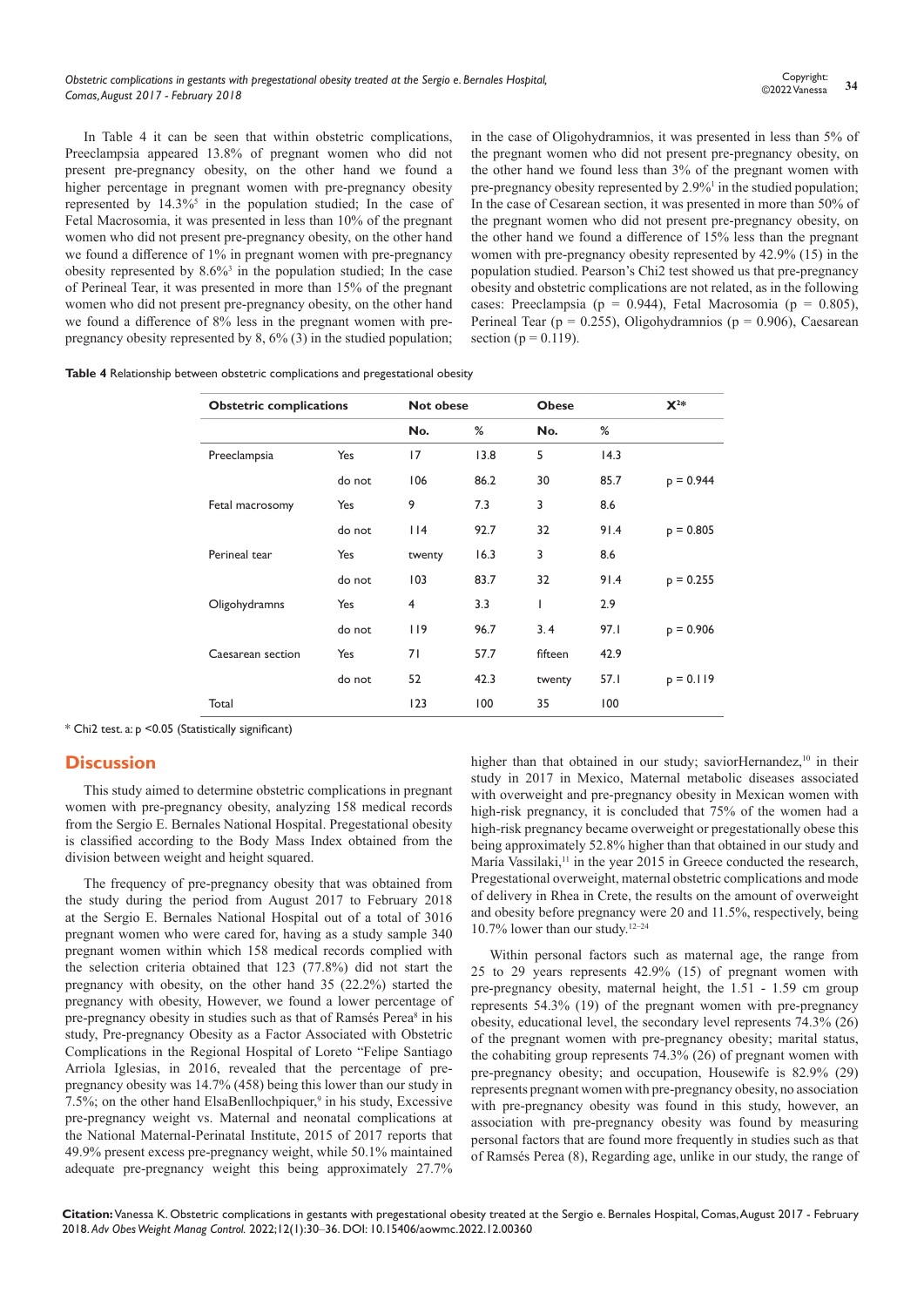In Table 4 it can be seen that within obstetric complications, Preeclampsia appeared 13.8% of pregnant women who did not present pre-pregnancy obesity, on the other hand we found a higher percentage in pregnant women with pre-pregnancy obesity represented by  $14.3\%$ <sup>5</sup> in the population studied; In the case of Fetal Macrosomia, it was presented in less than 10% of the pregnant women who did not present pre-pregnancy obesity, on the other hand we found a difference of 1% in pregnant women with pre-pregnancy obesity represented by  $8.6\%$ <sup>3</sup> in the population studied; In the case of Perineal Tear, it was presented in more than 15% of the pregnant women who did not present pre-pregnancy obesity, on the other hand we found a difference of 8% less in the pregnant women with prepregnancy obesity represented by 8, 6% (3) in the studied population;

in the case of Oligohydramnios, it was presented in less than 5% of the pregnant women who did not present pre-pregnancy obesity, on the other hand we found less than 3% of the pregnant women with pre-pregnancy obesity represented by 2.9%<sup>1</sup> in the studied population; In the case of Cesarean section, it was presented in more than 50% of the pregnant women who did not present pre-pregnancy obesity, on the other hand we found a difference of 15% less than the pregnant women with pre-pregnancy obesity represented by 42.9% (15) in the population studied. Pearson's Chi2 test showed us that pre-pregnancy obesity and obstetric complications are not related, as in the following cases: Preeclampsia (p = 0.944), Fetal Macrosomia (p = 0.805), Perineal Tear ( $p = 0.255$ ), Oligohydramnios ( $p = 0.906$ ), Caesarean section ( $p = 0.119$ ).

**Table 4** Relationship between obstetric complications and pregestational obesity

| <b>Obstetric complications</b> | <b>Not obese</b> |                | <b>Obese</b> |         |      |             |
|--------------------------------|------------------|----------------|--------------|---------|------|-------------|
|                                |                  | No.            | %            | No.     | %    |             |
| Preeclampsia                   | Yes              | 17             | 13.8         | 5       | 14.3 |             |
|                                | do not           | 106            | 86.2         | 30      | 85.7 | $p = 0.944$ |
| Fetal macrosomy                | Yes              | 9              | 7.3          | 3       | 8.6  |             |
|                                | do not           | $ $  4         | 92.7         | 32      | 91.4 | $p = 0.805$ |
| Perineal tear                  | Yes              | twenty         | 16.3         | 3       | 8.6  |             |
|                                | do not           | 103            | 83.7         | 32      | 91.4 | $p = 0.255$ |
| Oligohydramns                  | Yes              | $\overline{4}$ | 3.3          | ı       | 2.9  |             |
|                                | do not           | 119            | 96.7         | 3.4     | 97.1 | $p = 0.906$ |
| Caesarean section              | Yes              | 71             | 57.7         | fifteen | 42.9 |             |
|                                | do not           | 52             | 42.3         | twenty  | 57.1 | $p = 0.119$ |
| Total                          |                  | 123            | 100          | 35      | 100  |             |

\* Chi2 test. a: p <0.05 (Statistically significant)

#### **Discussion**

This study aimed to determine obstetric complications in pregnant women with pre-pregnancy obesity, analyzing 158 medical records from the Sergio E. Bernales National Hospital. Pregestational obesity is classified according to the Body Mass Index obtained from the division between weight and height squared.

The frequency of pre-pregnancy obesity that was obtained from the study during the period from August 2017 to February 2018 at the Sergio E. Bernales National Hospital out of a total of 3016 pregnant women who were cared for, having as a study sample 340 pregnant women within which 158 medical records complied with the selection criteria obtained that 123 (77.8%) did not start the pregnancy with obesity, on the other hand 35 (22.2%) started the pregnancy with obesity, However, we found a lower percentage of pre-pregnancy obesity in studies such as that of Ramsés Perea<sup>8</sup> in his study, Pre-pregnancy Obesity as a Factor Associated with Obstetric Complications in the Regional Hospital of Loreto "Felipe Santiago Arriola Iglesias, in 2016, revealed that the percentage of prepregnancy obesity was 14.7% (458) being this lower than our study in 7.5%; on the other hand ElsaBenllochpiquer,<sup>9</sup> in his study, Excessive pre-pregnancy weight vs. Maternal and neonatal complications at the National Maternal-Perinatal Institute, 2015 of 2017 reports that 49.9% present excess pre-pregnancy weight, while 50.1% maintained adequate pre-pregnancy weight this being approximately 27.7%

higher than that obtained in our study; saviorHernandez,<sup>10</sup> in their study in 2017 in Mexico, Maternal metabolic diseases associated with overweight and pre-pregnancy obesity in Mexican women with high-risk pregnancy, it is concluded that 75% of the women had a high-risk pregnancy became overweight or pregestationally obese this being approximately 52.8% higher than that obtained in our study and María Vassilaki, $11$  in the year 2015 in Greece conducted the research, Pregestational overweight, maternal obstetric complications and mode of delivery in Rhea in Crete, the results on the amount of overweight and obesity before pregnancy were 20 and 11.5%, respectively, being 10.7% lower than our study.12–24

Within personal factors such as maternal age, the range from 25 to 29 years represents 42.9% (15) of pregnant women with pre-pregnancy obesity, maternal height, the 1.51 - 1.59 cm group represents 54.3% (19) of the pregnant women with pre-pregnancy obesity, educational level, the secondary level represents 74.3% (26) of the pregnant women with pre-pregnancy obesity; marital status, the cohabiting group represents 74.3% (26) of pregnant women with pre-pregnancy obesity; and occupation, Housewife is 82.9% (29) represents pregnant women with pre-pregnancy obesity, no association with pre-pregnancy obesity was found in this study, however, an association with pre-pregnancy obesity was found by measuring personal factors that are found more frequently in studies such as that of Ramsés Perea (8), Regarding age, unlike in our study, the range of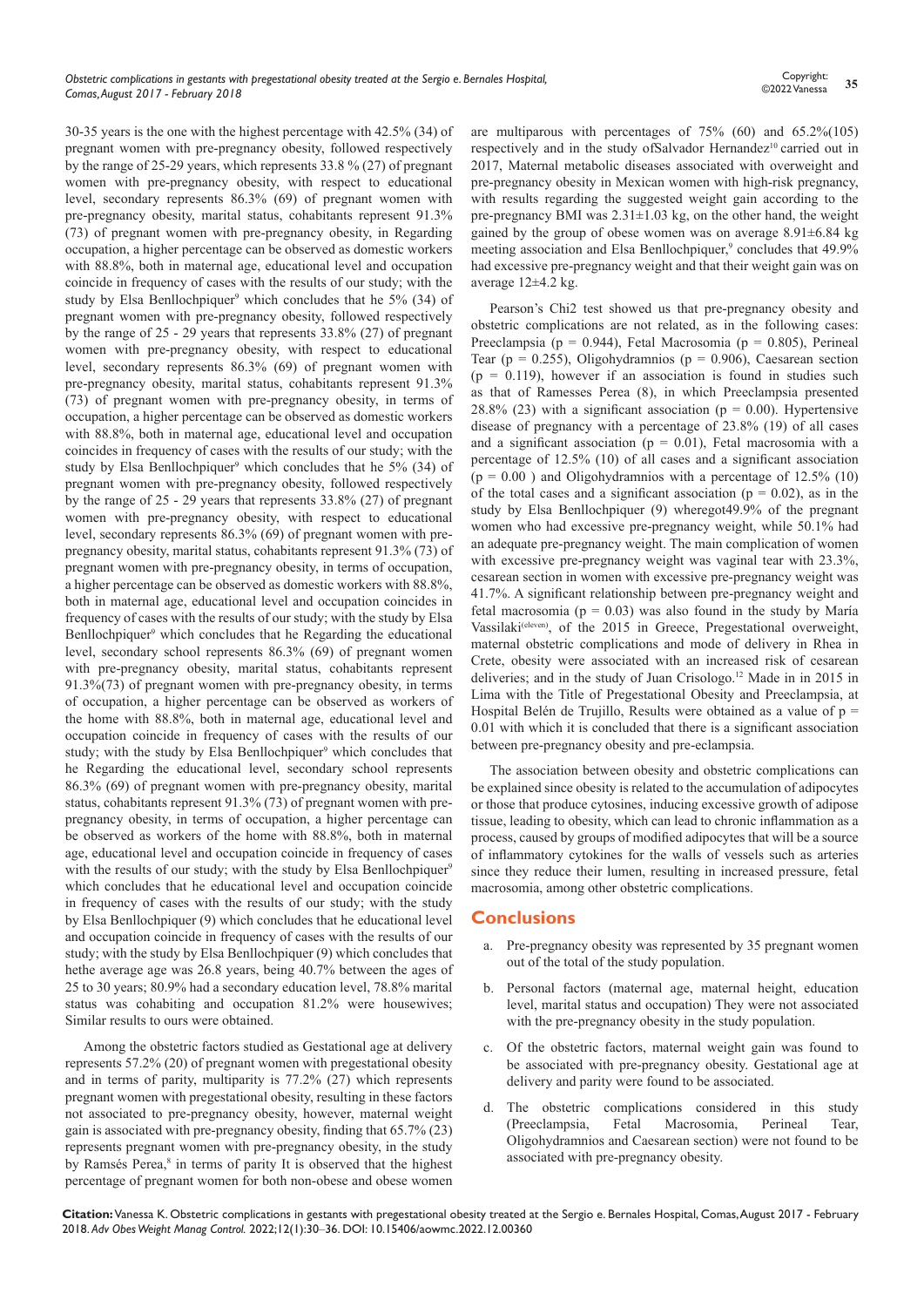30-35 years is the one with the highest percentage with 42.5% (34) of pregnant women with pre-pregnancy obesity, followed respectively by the range of 25-29 years, which represents 33.8 % (27) of pregnant women with pre-pregnancy obesity, with respect to educational level, secondary represents 86.3% (69) of pregnant women with pre-pregnancy obesity, marital status, cohabitants represent 91.3% (73) of pregnant women with pre-pregnancy obesity, in Regarding occupation, a higher percentage can be observed as domestic workers with 88.8%, both in maternal age, educational level and occupation coincide in frequency of cases with the results of our study; with the study by Elsa Benllochpiquer<sup>9</sup> which concludes that he 5% (34) of pregnant women with pre-pregnancy obesity, followed respectively by the range of 25 - 29 years that represents 33.8% (27) of pregnant women with pre-pregnancy obesity, with respect to educational level, secondary represents 86.3% (69) of pregnant women with pre-pregnancy obesity, marital status, cohabitants represent 91.3% (73) of pregnant women with pre-pregnancy obesity, in terms of occupation, a higher percentage can be observed as domestic workers with 88.8%, both in maternal age, educational level and occupation coincides in frequency of cases with the results of our study; with the study by Elsa Benllochpiquer<sup>9</sup> which concludes that he 5% (34) of pregnant women with pre-pregnancy obesity, followed respectively by the range of 25 - 29 years that represents 33.8% (27) of pregnant women with pre-pregnancy obesity, with respect to educational level, secondary represents 86.3% (69) of pregnant women with prepregnancy obesity, marital status, cohabitants represent 91.3% (73) of pregnant women with pre-pregnancy obesity, in terms of occupation, a higher percentage can be observed as domestic workers with 88.8%, both in maternal age, educational level and occupation coincides in frequency of cases with the results of our study; with the study by Elsa Benllochpiquer<sup>9</sup> which concludes that he Regarding the educational level, secondary school represents 86.3% (69) of pregnant women with pre-pregnancy obesity, marital status, cohabitants represent 91.3%(73) of pregnant women with pre-pregnancy obesity, in terms of occupation, a higher percentage can be observed as workers of the home with 88.8%, both in maternal age, educational level and occupation coincide in frequency of cases with the results of our study; with the study by Elsa Benllochpiquer<sup>9</sup> which concludes that he Regarding the educational level, secondary school represents 86.3% (69) of pregnant women with pre-pregnancy obesity, marital status, cohabitants represent 91.3% (73) of pregnant women with prepregnancy obesity, in terms of occupation, a higher percentage can be observed as workers of the home with 88.8%, both in maternal age, educational level and occupation coincide in frequency of cases with the results of our study; with the study by Elsa Benllochpiquer<sup>9</sup> which concludes that he educational level and occupation coincide in frequency of cases with the results of our study; with the study by Elsa Benllochpiquer (9) which concludes that he educational level and occupation coincide in frequency of cases with the results of our study; with the study by Elsa Benllochpiquer (9) which concludes that hethe average age was 26.8 years, being 40.7% between the ages of 25 to 30 years; 80.9% had a secondary education level, 78.8% marital status was cohabiting and occupation 81.2% were housewives; Similar results to ours were obtained.

Among the obstetric factors studied as Gestational age at delivery represents 57.2% (20) of pregnant women with pregestational obesity and in terms of parity, multiparity is 77.2% (27) which represents pregnant women with pregestational obesity, resulting in these factors not associated to pre-pregnancy obesity, however, maternal weight gain is associated with pre-pregnancy obesity, finding that 65.7% (23) represents pregnant women with pre-pregnancy obesity, in the study by Ramsés Perea,<sup>8</sup> in terms of parity It is observed that the highest percentage of pregnant women for both non-obese and obese women

are multiparous with percentages of 75% (60) and 65.2%(105) respectively and in the study ofSalvador Hernandez<sup>10</sup> carried out in 2017, Maternal metabolic diseases associated with overweight and pre-pregnancy obesity in Mexican women with high-risk pregnancy, with results regarding the suggested weight gain according to the pre-pregnancy BMI was  $2.31 \pm 1.03$  kg, on the other hand, the weight gained by the group of obese women was on average  $8.91\pm6.84$  kg meeting association and Elsa Benllochpiquer,<sup>9</sup> concludes that 49.9% had excessive pre-pregnancy weight and that their weight gain was on average 12±4.2 kg.

Pearson's Chi2 test showed us that pre-pregnancy obesity and obstetric complications are not related, as in the following cases: Preeclampsia (p = 0.944), Fetal Macrosomia (p = 0.805), Perineal Tear ( $p = 0.255$ ), Oligohydramnios ( $p = 0.906$ ), Caesarean section  $(p = 0.119)$ , however if an association is found in studies such as that of Ramesses Perea (8), in which Preeclampsia presented 28.8% (23) with a significant association ( $p = 0.00$ ). Hypertensive disease of pregnancy with a percentage of 23.8% (19) of all cases and a significant association ( $p = 0.01$ ), Fetal macrosomia with a percentage of 12.5% (10) of all cases and a significant association  $(p = 0.00)$  and Oligohydramnios with a percentage of 12.5% (10) of the total cases and a significant association ( $p = 0.02$ ), as in the study by Elsa Benllochpiquer (9) wheregot49.9% of the pregnant women who had excessive pre-pregnancy weight, while 50.1% had an adequate pre-pregnancy weight. The main complication of women with excessive pre-pregnancy weight was vaginal tear with 23.3%, cesarean section in women with excessive pre-pregnancy weight was 41.7%. A significant relationship between pre-pregnancy weight and fetal macrosomia ( $p = 0.03$ ) was also found in the study by María Vassilaki<sup>(eleven)</sup>, of the 2015 in Greece, Pregestational overweight, maternal obstetric complications and mode of delivery in Rhea in Crete, obesity were associated with an increased risk of cesarean deliveries; and in the study of Juan Crisologo.<sup>12</sup> Made in in 2015 in Lima with the Title of Pregestational Obesity and Preeclampsia, at Hospital Belén de Trujillo, Results were obtained as a value of  $p =$ 0.01 with which it is concluded that there is a significant association between pre-pregnancy obesity and pre-eclampsia.

The association between obesity and obstetric complications can be explained since obesity is related to the accumulation of adipocytes or those that produce cytosines, inducing excessive growth of adipose tissue, leading to obesity, which can lead to chronic inflammation as a process, caused by groups of modified adipocytes that will be a source of inflammatory cytokines for the walls of vessels such as arteries since they reduce their lumen, resulting in increased pressure, fetal macrosomia, among other obstetric complications.

## **Conclusions**

- a. Pre-pregnancy obesity was represented by 35 pregnant women out of the total of the study population.
- b. Personal factors (maternal age, maternal height, education level, marital status and occupation) They were not associated with the pre-pregnancy obesity in the study population.
- c. Of the obstetric factors, maternal weight gain was found to be associated with pre-pregnancy obesity. Gestational age at delivery and parity were found to be associated.
- d. The obstetric complications considered in this study (Preeclampsia, Fetal Macrosomia, Perineal Tear, Oligohydramnios and Caesarean section) were not found to be associated with pre-pregnancy obesity.